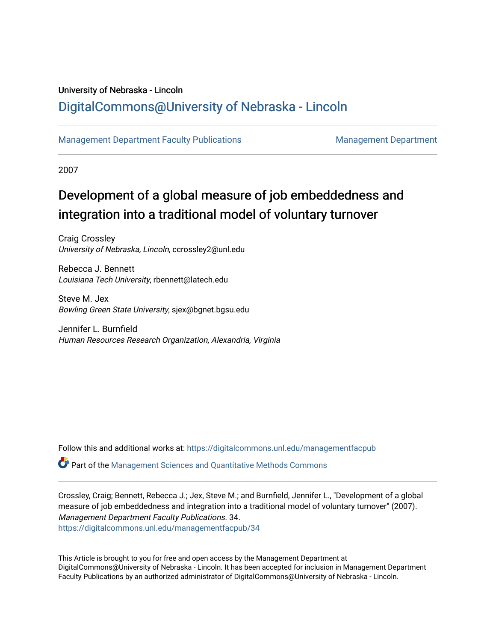### University of Nebraska - Lincoln [DigitalCommons@University of Nebraska - Lincoln](https://digitalcommons.unl.edu/)

### [Management Department Faculty Publications](https://digitalcommons.unl.edu/managementfacpub) **Management Department** Management Department

2007

## Development of a global measure of job embeddedness and integration into a traditional model of voluntary turnover

Craig Crossley University of Nebraska, Lincoln, ccrossley2@unl.edu

Rebecca J. Bennett Louisiana Tech University, rbennett@latech.edu

Steve M. Jex Bowling Green State University, sjex@bgnet.bgsu.edu

Jennifer L. Burnfield Human Resources Research Organization, Alexandria, Virginia

Follow this and additional works at: [https://digitalcommons.unl.edu/managementfacpub](https://digitalcommons.unl.edu/managementfacpub?utm_source=digitalcommons.unl.edu%2Fmanagementfacpub%2F34&utm_medium=PDF&utm_campaign=PDFCoverPages)

Part of the [Management Sciences and Quantitative Methods Commons](http://network.bepress.com/hgg/discipline/637?utm_source=digitalcommons.unl.edu%2Fmanagementfacpub%2F34&utm_medium=PDF&utm_campaign=PDFCoverPages)

Crossley, Craig; Bennett, Rebecca J.; Jex, Steve M.; and Burnfield, Jennifer L., "Development of a global measure of job embeddedness and integration into a traditional model of voluntary turnover" (2007). Management Department Faculty Publications. 34. [https://digitalcommons.unl.edu/managementfacpub/34](https://digitalcommons.unl.edu/managementfacpub/34?utm_source=digitalcommons.unl.edu%2Fmanagementfacpub%2F34&utm_medium=PDF&utm_campaign=PDFCoverPages) 

This Article is brought to you for free and open access by the Management Department at DigitalCommons@University of Nebraska - Lincoln. It has been accepted for inclusion in Management Department Faculty Publications by an authorized administrator of DigitalCommons@University of Nebraska - Lincoln.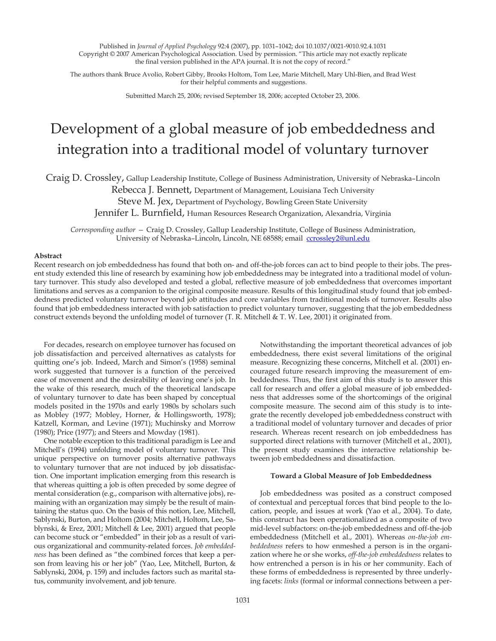Published in *Journal of Applied Psychology* 92:4 (2007), pp. 1031–1042; doi 10.1037/0021-9010.92.4.1031 Copyright © 2007 American Psychological Association. Used by permission. "This article may not exactly replicate the final version published in the APA journal. It is not the copy of record."

The authors thank Bruce Avolio, Robert Gibby, Brooks Holtom, Tom Lee, Marie Mitchell, Mary Uhl-Bien, and Brad West for their helpful comments and suggestions.

Submitted March 25, 2006; revised September 18, 2006; accepted October 23, 2006.

# Development of a global measure of job embeddedness and integration into a traditional model of voluntary turnover

Craig D. Crossley, Gallup Leadership Institute, College of Business Administration, University of Nebraska–Lincoln

Rebecca J. Bennett, Department of Management, Louisiana Tech University

Steve M. Jex, Department of Psychology, Bowling Green State University

Jennifer L. Burnfield, Human Resources Research Organization, Alexandria, Virginia

*Corresponding author —* Craig D. Crossley, Gallup Leadership Institute, College of Business Administration, University of Nebraska-Lincoln, Lincoln, NE 68588; email ccrossley2@unl.edu

#### **Abstract**

Recent research on job embeddedness has found that both on- and off-the-job forces can act to bind people to their jobs. The present study extended this line of research by examining how job embeddedness may be integrated into a traditional model of voluntary turnover. This study also developed and tested a global, reflective measure of job embeddedness that overcomes important limitations and serves as a companion to the original composite measure. Results of this longitudinal study found that job embeddedness predicted voluntary turnover beyond job attitudes and core variables from traditional models of turnover. Results also found that job embeddedness interacted with job satisfaction to predict voluntary turnover, suggesting that the job embeddedness construct extends beyond the unfolding model of turnover (T. R. Mitchell & T. W. Lee, 2001) it originated from.

For decades, research on employee turnover has focused on job dissatisfaction and perceived alternatives as catalysts for quitting one's job. Indeed, March and Simon's (1958) seminal work suggested that turnover is a function of the perceived ease of movement and the desirability of leaving one's job. In the wake of this research, much of the theoretical landscape of voluntary turnover to date has been shaped by conceptual models posited in the 1970s and early 1980s by scholars such as Mobley (1977; Mobley, Horner, & Hollingsworth, 1978); Katzell, Korman, and Levine (1971); Muchinsky and Morrow (1980); Price (1977); and Steers and Mowday (1981).

One notable exception to this traditional paradigm is Lee and Mitchell's (1994) unfolding model of voluntary turnover. This unique perspective on turnover posits alternative pathways to voluntary turnover that are not induced by job dissatisfaction. One important implication emerging from this research is that whereas quitting a job is often preceded by some degree of mental consideration (e.g., comparison with alternative jobs), remaining with an organization may simply be the result of maintaining the status quo. On the basis of this notion, Lee, Mitchell, Sablynski, Burton, and Holtom (2004; Mitchell, Holtom, Lee, Sablynski, & Erez, 2001; Mitchell & Lee, 2001) argued that people can become stuck or "embedded" in their job as a result of various organizational and community-related forces. *Job embeddedness* has been defined as "the combined forces that keep a person from leaving his or her job" (Yao, Lee, Mitchell, Burton, & Sablynski, 2004, p. 159) and includes factors such as marital status, community involvement, and job tenure.

Notwithstanding the important theoretical advances of job embeddedness, there exist several limitations of the original measure. Recognizing these concerns, Mitchell et al. (2001) encouraged future research improving the measurement of embeddedness. Thus, the first aim of this study is to answer this call for research and offer a global measure of job embeddedness that addresses some of the shortcomings of the original composite measure. The second aim of this study is to integrate the recently developed job embeddedness construct with a traditional model of voluntary turnover and decades of prior research. Whereas recent research on job embeddedness has supported direct relations with turnover (Mitchell et al., 2001), the present study examines the interactive relationship between job embeddedness and dissatisfaction.

#### **Toward a Global Measure of Job Embeddedness**

Job embeddedness was posited as a construct composed of contextual and perceptual forces that bind people to the location, people, and issues at work (Yao et al., 2004). To date, this construct has been operationalized as a composite of two mid-level subfactors: on-the-job embeddedness and off-the-job embeddedness (Mitchell et al., 2001). Whereas *on-the-job embeddedness* refers to how enmeshed a person is in the organization where he or she works, *off-the-job embeddedness* relates to how entrenched a person is in his or her community. Each of these forms of embeddedness is represented by three underlying facets: *links* (formal or informal connections between a per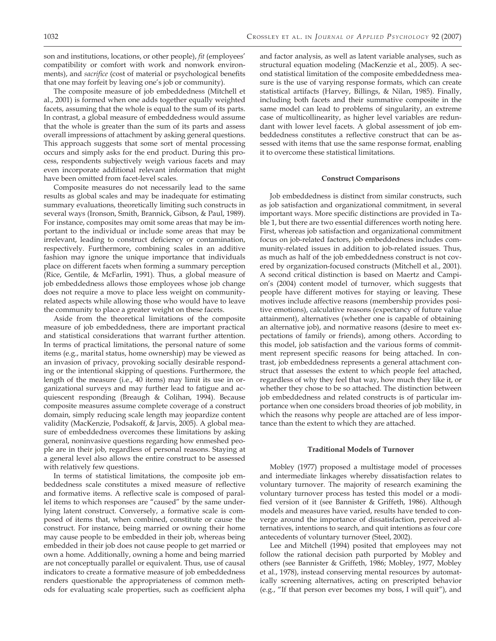son and institutions, locations, or other people), *fit* (employees' compatibility or comfort with work and nonwork environments), and *sacrifice* (cost of material or psychological benefits that one may forfeit by leaving one's job or community).

The composite measure of job embeddedness (Mitchell et al., 2001) is formed when one adds together equally weighted facets, assuming that the whole is equal to the sum of its parts. In contrast, a global measure of embeddedness would assume that the whole is greater than the sum of its parts and assess overall impressions of attachment by asking general questions. This approach suggests that some sort of mental processing occurs and simply asks for the end product. During this process, respondents subjectively weigh various facets and may even incorporate additional relevant information that might have been omitted from facet-level scales.

Composite measures do not necessarily lead to the same results as global scales and may be inadequate for estimating summary evaluations, theoretically limiting such constructs in several ways (Ironson, Smith, Brannick, Gibson, & Paul, 1989). For instance, composites may omit some areas that may be important to the individual or include some areas that may be irrelevant, leading to construct deficiency or contamination, respectively. Furthermore, combining scales in an additive fashion may ignore the unique importance that individuals place on different facets when forming a summary perception (Rice, Gentile, & McFarlin, 1991). Thus, a global measure of job embeddedness allows those employees whose job change does not require a move to place less weight on communityrelated aspects while allowing those who would have to leave the community to place a greater weight on these facets.

Aside from the theoretical limitations of the composite measure of job embeddedness, there are important practical and statistical considerations that warrant further attention. In terms of practical limitations, the personal nature of some items (e.g., marital status, home ownership) may be viewed as an invasion of privacy, provoking socially desirable responding or the intentional skipping of questions. Furthermore, the length of the measure (i.e., 40 items) may limit its use in organizational surveys and may further lead to fatigue and acquiescent responding (Breaugh & Colihan, 1994). Because composite measures assume complete coverage of a construct domain, simply reducing scale length may jeopardize content validity (MacKenzie, Podsakoff, & Jarvis, 2005). A global measure of embeddedness overcomes these limitations by asking general, noninvasive questions regarding how enmeshed people are in their job, regardless of personal reasons. Staying at a general level also allows the entire construct to be assessed with relatively few questions.

In terms of statistical limitations, the composite job embeddedness scale constitutes a mixed measure of reflective and formative items. A reflective scale is composed of parallel items to which responses are "caused" by the same underlying latent construct. Conversely, a formative scale is composed of items that, when combined, constitute or cause the construct. For instance, being married or owning their home may cause people to be embedded in their job, whereas being embedded in their job does not cause people to get married or own a home. Additionally, owning a home and being married are not conceptually parallel or equivalent. Thus, use of causal indicators to create a formative measure of job embeddedness renders questionable the appropriateness of common methods for evaluating scale properties, such as coefficient alpha and factor analysis, as well as latent variable analyses, such as structural equation modeling (MacKenzie et al., 2005). A second statistical limitation of the composite embeddedness measure is the use of varying response formats, which can create statistical artifacts (Harvey, Billings, & Nilan, 1985). Finally, including both facets and their summative composite in the same model can lead to problems of singularity, an extreme case of multicollinearity, as higher level variables are redundant with lower level facets. A global assessment of job embeddedness constitutes a reflective construct that can be assessed with items that use the same response format, enabling it to overcome these statistical limitations.

#### **Construct Comparisons**

Job embeddedness is distinct from similar constructs, such as job satisfaction and organizational commitment, in several important ways. More specific distinctions are provided in Table 1, but there are two essential differences worth noting here. First, whereas job satisfaction and organizational commitment focus on job-related factors, job embeddedness includes community-related issues in addition to job-related issues. Thus, as much as half of the job embeddedness construct is not covered by organization-focused constructs (Mitchell et al., 2001). A second critical distinction is based on Maertz and Campion's (2004) content model of turnover, which suggests that people have different motives for staying or leaving. These motives include affective reasons (membership provides positive emotions), calculative reasons (expectancy of future value attainment), alternatives (whether one is capable of obtaining an alternative job), and normative reasons (desire to meet expectations of family or friends), among others. According to this model, job satisfaction and the various forms of commitment represent specific reasons for being attached. In contrast, job embeddedness represents a general attachment construct that assesses the extent to which people feel attached, regardless of why they feel that way, how much they like it, or whether they chose to be so attached. The distinction between job embeddedness and related constructs is of particular importance when one considers broad theories of job mobility, in which the reasons why people are attached are of less importance than the extent to which they are attached.

#### **Traditional Models of Turnover**

Mobley (1977) proposed a multistage model of processes and intermediate linkages whereby dissatisfaction relates to voluntary turnover. The majority of research examining the voluntary turnover process has tested this model or a modified version of it (see Bannister & Griffeth, 1986). Although models and measures have varied, results have tended to converge around the importance of dissatisfaction, perceived alternatives, intentions to search, and quit intentions as four core antecedents of voluntary turnover (Steel, 2002).

Lee and Mitchell (1994) posited that employees may not follow the rational decision path purported by Mobley and others (see Bannister & Griffeth, 1986; Mobley, 1977, Mobley et al., 1978), instead conserving mental resources by automatically screening alternatives, acting on prescripted behavior (e.g., "If that person ever becomes my boss, I will quit"), and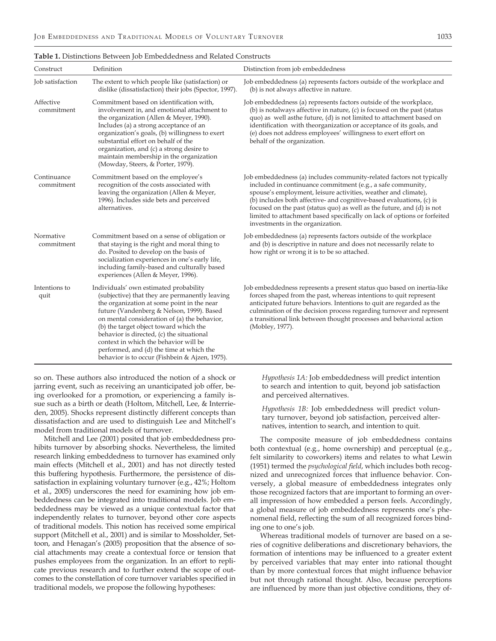| Construct                 | Definition                                                                                                                                                                                                                                                                                                                                                                                                                                                        | Distinction from job embeddedness                                                                                                                                                                                                                                                                                                                                                                                                                                        |
|---------------------------|-------------------------------------------------------------------------------------------------------------------------------------------------------------------------------------------------------------------------------------------------------------------------------------------------------------------------------------------------------------------------------------------------------------------------------------------------------------------|--------------------------------------------------------------------------------------------------------------------------------------------------------------------------------------------------------------------------------------------------------------------------------------------------------------------------------------------------------------------------------------------------------------------------------------------------------------------------|
| Job satisfaction          | The extent to which people like (satisfaction) or<br>dislike (dissatisfaction) their jobs (Spector, 1997).                                                                                                                                                                                                                                                                                                                                                        | Job embeddedness (a) represents factors outside of the workplace and<br>(b) is not always affective in nature.                                                                                                                                                                                                                                                                                                                                                           |
| Affective<br>commitment   | Commitment based on identification with,<br>involvement in, and emotional attachment to<br>the organization (Allen & Meyer, 1990).<br>Includes (a) a strong acceptance of an<br>organization's goals, (b) willingness to exert<br>substantial effort on behalf of the<br>organization, and (c) a strong desire to<br>maintain membership in the organization<br>(Mowday, Steers, & Porter, 1979).                                                                 | Job embeddedness (a) represents factors outside of the workplace,<br>(b) is notalways affective in nature, (c) is focused on the past (status<br>quo) as well asthe future, (d) is not limited to attachment based on<br>identification with theorganization or acceptance of its goals, and<br>(e) does not address employees' willingness to exert effort on<br>behalf of the organization.                                                                            |
| Continuance<br>commitment | Commitment based on the employee's<br>recognition of the costs associated with<br>leaving the organization (Allen & Meyer,<br>1996). Includes side bets and perceived<br>alternatives.                                                                                                                                                                                                                                                                            | Job embeddedness (a) includes community-related factors not typically<br>included in continuance commitment (e.g., a safe community,<br>spouse's employment, leisure activities, weather and climate),<br>(b) includes both affective- and cognitive-based evaluations, (c) is<br>focused on the past (status quo) as well as the future, and (d) is not<br>limited to attachment based specifically on lack of options or forfeited<br>investments in the organization. |
| Normative<br>commitment   | Commitment based on a sense of obligation or<br>that staying is the right and moral thing to<br>do. Posited to develop on the basis of<br>socialization experiences in one's early life,<br>including family-based and culturally based<br>experiences (Allen & Meyer, 1996).                                                                                                                                                                                     | Job embeddedness (a) represents factors outside of the workplace<br>and (b) is descriptive in nature and does not necessarily relate to<br>how right or wrong it is to be so attached.                                                                                                                                                                                                                                                                                   |
| Intentions to<br>quit     | Individuals' own estimated probability<br>(subjective) that they are permanently leaving<br>the organization at some point in the near<br>future (Vandenberg & Nelson, 1999). Based<br>on mental consideration of (a) the behavior,<br>(b) the target object toward which the<br>behavior is directed, (c) the situational<br>context in which the behavior will be<br>performed, and (d) the time at which the<br>behavior is to occur (Fishbein & Ajzen, 1975). | Job embeddedness represents a present status quo based on inertia-like<br>forces shaped from the past, whereas intentions to quit represent<br>anticipated future behaviors. Intentions to quit are regarded as the<br>culmination of the decision process regarding turnover and represent<br>a transitional link between thought processes and behavioral action<br>(Mobley, 1977).                                                                                    |

#### **Table 1.** Distinctions Between Job Embeddedness and Related Constructs

so on. These authors also introduced the notion of a shock or jarring event, such as receiving an unanticipated job offer, being overlooked for a promotion, or experiencing a family issue such as a birth or death (Holtom, Mitchell, Lee, & Interrieden, 2005). Shocks represent distinctly different concepts than dissatisfaction and are used to distinguish Lee and Mitchell's model from traditional models of turnover.

Mitchell and Lee (2001) posited that job embeddedness prohibits turnover by absorbing shocks. Nevertheless, the limited research linking embeddedness to turnover has examined only main effects (Mitchell et al., 2001) and has not directly tested this buffering hypothesis. Furthermore, the persistence of dissatisfaction in explaining voluntary turnover (e.g., 42%; Holtom et al., 2005) underscores the need for examining how job embeddedness can be integrated into traditional models. Job embeddedness may be viewed as a unique contextual factor that independently relates to turnover, beyond other core aspects of traditional models. This notion has received some empirical support (Mitchell et al., 2001) and is similar to Mossholder, Settoon, and Henagan's (2005) proposition that the absence of social attachments may create a contextual force or tension that pushes employees from the organization. In an effort to replicate previous research and to further extend the scope of outcomes to the constellation of core turnover variables specified in traditional models, we propose the following hypotheses:

*Hypothesis 1A:* Job embeddedness will predict intention to search and intention to quit, beyond job satisfaction and perceived alternatives.

*Hypothesis 1B:* Job embeddedness will predict voluntary turnover, beyond job satisfaction, perceived alternatives, intention to search, and intention to quit.

The composite measure of job embeddedness contains both contextual (e.g., home ownership) and perceptual (e.g., felt similarity to coworkers) items and relates to what Lewin (1951) termed the *psychological field*, which includes both recognized and unrecognized forces that influence behavior. Conversely, a global measure of embeddedness integrates only those recognized factors that are important to forming an overall impression of how embedded a person feels. Accordingly, a global measure of job embeddedness represents one's phenomenal field, reflecting the sum of all recognized forces binding one to one's job.

Whereas traditional models of turnover are based on a series of cognitive deliberations and discretionary behaviors, the formation of intentions may be influenced to a greater extent by perceived variables that may enter into rational thought than by more contextual forces that might influence behavior but not through rational thought. Also, because perceptions are influenced by more than just objective conditions, they of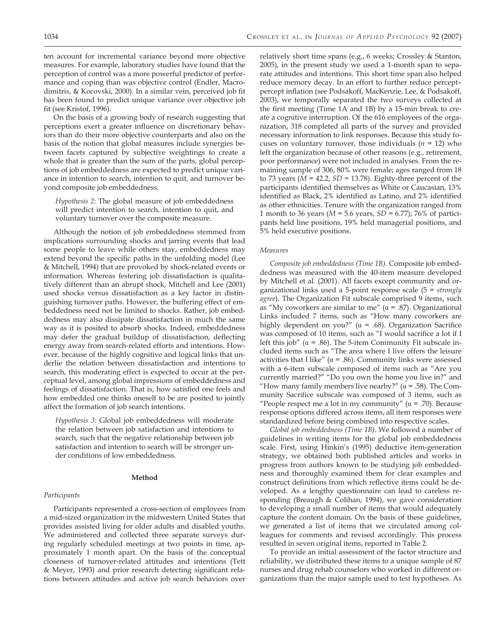ten account for incremental variance beyond more objective measures. For example, laboratory studies have found that the perception of control was a more powerful predictor of performance and coping than was objective control (Endler, Macrodimitris, & Kocovski, 2000). In a similar vein, perceived job fit has been found to predict unique variance over objective job fit (see Kristof, 1996).

On the basis of a growing body of research suggesting that perceptions exert a greater influence on discretionary behaviors than do their more objective counterparts and also on the basis of the notion that global measures include synergies between facets captured by subjective weightings to create a whole that is greater than the sum of the parts, global perceptions of job embeddedness are expected to predict unique variance in intention to search, intention to quit, and turnover beyond composite job embeddedness.

*Hypothesis 2:* The global measure of job embeddedness will predict intention to search, intention to quit, and voluntary turnover over the composite measure.

Although the notion of job embeddedness stemmed from implications surrounding shocks and jarring events that lead some people to leave while others stay, embeddedness may extend beyond the specific paths in the unfolding model (Lee & Mitchell, 1994) that are provoked by shock-related events or information. Whereas festering job dissatisfaction is qualitatively different than an abrupt shock, Mitchell and Lee (2001) used shocks versus dissatisfaction as a key factor in distinguishing turnover paths. However, the buffering effect of embeddedness need not be limited to shocks. Rather, job embeddedness may also dissipate dissatisfaction in much the same way as it is posited to absorb shocks. Indeed, embeddedness may defer the gradual buildup of dissatisfaction, deflecting energy away from search-related efforts and intentions. However, because of the highly cognitive and logical links that underlie the relation between dissatisfaction and intentions to search, this moderating effect is expected to occur at the perceptual level, among global impressions of embeddedness and feelings of dissatisfaction. That is, how satisfied one feels and how embedded one thinks oneself to be are posited to jointly affect the formation of job search intentions.

*Hypothesis 3:* Global job embeddedness will moderate the relation between job satisfaction and intentions to search, such that the negative relationship between job satisfaction and intention to search will be stronger under conditions of low embeddedness.

#### **Method**

#### *Participants*

Participants represented a cross-section of employees from a mid-sized organization in the midwestern United States that provides assisted living for older adults and disabled youths. We administered and collected three separate surveys during regularly scheduled meetings at two points in time, approximately 1 month apart. On the basis of the conceptual closeness of turnover-related attitudes and intentions (Tett & Meyer, 1993) and prior research detecting significant relations between attitudes and active job search behaviors over

relatively short time spans (e.g., 6 weeks; Crossley & Stanton, 2005), in the present study we used a 1-month span to separate attitudes and intentions. This short time span also helped reduce memory decay. In an effort to further reduce percept– percept inflation (see Podsakoff, MacKenzie, Lee, & Podsakoff, 2003), we temporally separated the two surveys collected at the first meeting (Time 1A and 1B) by a 15-min break to create a cognitive interruption. Of the 616 employees of the organization, 318 completed all parts of the survey and provided necessary information to link responses. Because this study focuses on voluntary turnover, those individuals (*n* = 12) who left the organization because of other reasons (e.g., retirement, poor performance) were not included in analyses. From the remaining sample of 306, 80% were female; ages ranged from 18 to 73 years  $(M = 42.2, SD = 13.78)$ . Eighty-three percent of the participants identified themselves as White or Caucasian, 13% identified as Black, 2% identified as Latino, and 2% identified as other ethnicities. Tenure with the organization ranged from 1 month to 36 years (*M* = 5.6 years, *SD* = 6.77); 76% of participants held line positions, 19% held managerial positions, and 5% held executive positions.

#### *Measures*

*Composite job embeddedness (Time 1B).* Composite job embeddedness was measured with the 40-item measure developed by Mitchell et al. (2001). All facets except community and organizational links used a 5-point response scale (5 = *strongly agree*). The Organization Fit subscale comprised 9 items, such as "My coworkers are similar to me" ( $\alpha$  = .87). Organizational Links included 7 items, such as "How many coworkers are highly dependent on you?" ( $\alpha$  = .68). Organization Sacrifice was composed of 10 items, such as "I would sacrifice a lot if I left this job" ( $\alpha$  = .86). The 5-item Community Fit subscale included items such as "The area where I live offers the leisure activities that I like" ( $\alpha$  = .86). Community links were assessed with a 6-item subscale composed of items such as "Are you currently married?" "Do you own the home you live in?" and "How many family members live nearby?"  $(\alpha = .58)$ . The Community Sacrifice subscale was composed of 3 items, such as "People respect me a lot in my community" ( $\alpha$  = .70). Because response options differed across items, all item responses were standardized before being combined into respective scales.

*Global job embeddedness (Time 1B).* We followed a number of guidelines in writing items for the global job embeddedness scale. First, using Hinkin's (1995) deductive item-generation strategy, we obtained both published articles and works in progress from authors known to be studying job embeddedness and thoroughly examined them for clear examples and construct definitions from which reflective items could be developed. As a lengthy questionnaire can lead to careless responding (Breaugh & Colihan, 1994), we gave consideration to developing a small number of items that would adequately capture the content domain. On the basis of these guidelines, we generated a list of items that we circulated among colleagues for comments and revised accordingly. This process resulted in seven original items, reported in Table 2.

To provide an initial assessment of the factor structure and reliability, we distributed these items to a unique sample of 87 nurses and drug rehab counselors who worked in different organizations than the major sample used to test hypotheses. As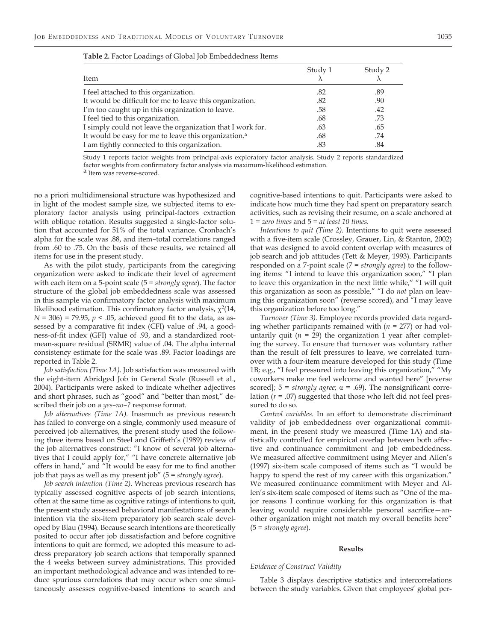| Item                                                             | Study 1 | Study 2 |
|------------------------------------------------------------------|---------|---------|
| I feel attached to this organization.                            | .82     | .89     |
| It would be difficult for me to leave this organization.         | .82     | .90     |
| I'm too caught up in this organization to leave.                 | .58     | .42     |
| I feel tied to this organization.                                | .68     | .73     |
| I simply could not leave the organization that I work for.       | .63     | .65     |
| It would be easy for me to leave this organization. <sup>a</sup> | .68     | .74     |
| I am tightly connected to this organization.                     | .83     | .84     |

|  | <b>Table 2.</b> Factor Loadings of Global Job Embeddedness Items |  |  |  |  |
|--|------------------------------------------------------------------|--|--|--|--|
|--|------------------------------------------------------------------|--|--|--|--|

Study 1 reports factor weights from principal-axis exploratory factor analysis. Study 2 reports standardized factor weights from confirmatory factor analysis via maximum-likelihood estimation. a Item was reverse-scored.

no a priori multidimensional structure was hypothesized and in light of the modest sample size, we subjected items to exploratory factor analysis using principal-factors extraction with oblique rotation. Results suggested a single-factor solution that accounted for 51% of the total variance. Cronbach's alpha for the scale was .88, and item–total correlations ranged from .60 to .75. On the basis of these results, we retained all items for use in the present study.

As with the pilot study, participants from the caregiving organization were asked to indicate their level of agreement with each item on a 5-point scale (5 = *strongly agree*). The factor structure of the global job embeddedness scale was assessed in this sample via confirmatory factor analysis with maximum likelihood estimation. This confirmatory factor analysis,  $\chi^2(14, 14)$ *N* = 306) = 79.95, *p* < .05, achieved good fit to the data, as assessed by a comparative fit index (CFI) value of .94, a goodness-of-fit index (GFI) value of .93, and a standardized rootmean-square residual (SRMR) value of .04. The alpha internal consistency estimate for the scale was .89. Factor loadings are reported in Table 2.

*Job satisfaction (Time 1A).* Job satisfaction was measured with the eight-item Abridged Job in General Scale (Russell et al., 2004). Participants were asked to indicate whether adjectives and short phrases, such as "good" and "better than most," described their job on a *yes*–*no*–*?* response format.

*Job alternatives (Time 1A).* Inasmuch as previous research has failed to converge on a single, commonly used measure of perceived job alternatives, the present study used the following three items based on Steel and Griffeth's (1989) review of the job alternatives construct: "I know of several job alternatives that I could apply for," "I have concrete alternative job offers in hand," and "It would be easy for me to find another job that pays as well as my present job" (5 = *strongly agree*).

*Job search intention (Time 2).* Whereas previous research has typically assessed cognitive aspects of job search intentions, often at the same time as cognitive ratings of intentions to quit, the present study assessed behavioral manifestations of search intention via the six-item preparatory job search scale developed by Blau (1994). Because search intentions are theoretically posited to occur after job dissatisfaction and before cognitive intentions to quit are formed, we adopted this measure to address preparatory job search actions that temporally spanned the 4 weeks between survey administrations. This provided an important methodological advance and was intended to reduce spurious correlations that may occur when one simultaneously assesses cognitive-based intentions to search and

cognitive-based intentions to quit. Participants were asked to indicate how much time they had spent on preparatory search activities, such as revising their resume, on a scale anchored at 1 = *zero times* and 5 = *at least 10 times.*

*Intentions to quit (Time 2).* Intentions to quit were assessed with a five-item scale (Crossley, Grauer, Lin, & Stanton, 2002) that was designed to avoid content overlap with measures of job search and job attitudes (Tett & Meyer, 1993). Participants responded on a 7-point scale (7 = *strongly agree*) to the following items: "I intend to leave this organization soon," "I plan to leave this organization in the next little while," "I will quit this organization as soon as possible," "I do *not* plan on leaving this organization soon" (reverse scored), and "I may leave this organization before too long."

*Turnover (Time 3).* Employee records provided data regarding whether participants remained with (*n* = 277) or had voluntarily quit  $(n = 29)$  the organization 1 year after completing the survey. To ensure that turnover was voluntary rather than the result of felt pressures to leave, we correlated turnover with a four-item measure developed for this study (Time 1B; e.g., "I feel pressured into leaving this organization," "My coworkers make me feel welcome and wanted here" [reverse scored];  $5 =$  *strongly agree*;  $\alpha = .69$ ). The nonsignificant correlation (*r* = .07) suggested that those who left did not feel pressured to do so.

*Control variables.* In an effort to demonstrate discriminant validity of job embeddedness over organizational commitment, in the present study we measured (Time 1A) and statistically controlled for empirical overlap between both affective and continuance commitment and job embeddedness. We measured affective commitment using Meyer and Allen's (1997) six-item scale composed of items such as "I would be happy to spend the rest of my career with this organization." We measured continuance commitment with Meyer and Allen's six-item scale composed of items such as "One of the major reasons I continue working for this organization is that leaving would require considerable personal sacrifice—another organization might not match my overall benefits here" (5 = *strongly agree*).

#### **Results**

#### *Evidence of Construct Validity*

Table 3 displays descriptive statistics and intercorrelations between the study variables. Given that employees' global per-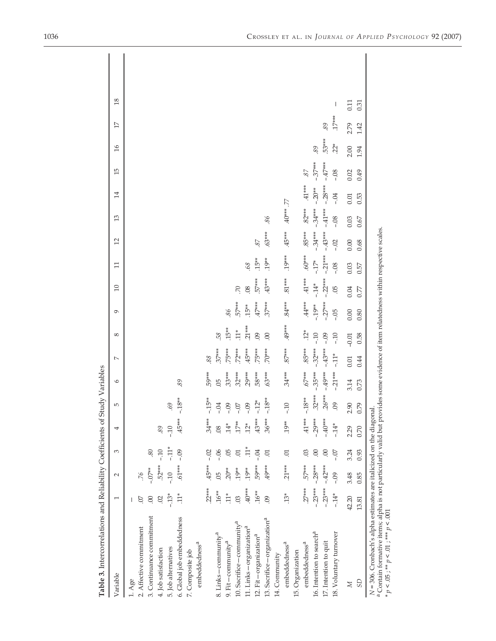| Table 3. Intercorrelations and Reliability Coefficients of Study Variables                                                                                                                                                                                                              |                         |           |                |           |                |                |           |                |            |           |                |                |           |                 |           |                 |                 |      |  |
|-----------------------------------------------------------------------------------------------------------------------------------------------------------------------------------------------------------------------------------------------------------------------------------------|-------------------------|-----------|----------------|-----------|----------------|----------------|-----------|----------------|------------|-----------|----------------|----------------|-----------|-----------------|-----------|-----------------|-----------------|------|--|
| Variable                                                                                                                                                                                                                                                                                | $\overline{ }$          | $\sim$    | 3              | 4         | LO.            | $\circ$        | $\sim$    | $\infty$       | Ó          | 10        | Ξ              | $\overline{c}$ | 13        | $\overline{14}$ | 15        | $\overline{16}$ | $\overline{17}$ | 18   |  |
| $1.$ Age                                                                                                                                                                                                                                                                                |                         |           |                |           |                |                |           |                |            |           |                |                |           |                 |           |                 |                 |      |  |
| 2. Affective commitment                                                                                                                                                                                                                                                                 | S                       | .76       |                |           |                |                |           |                |            |           |                |                |           |                 |           |                 |                 |      |  |
| 3. Continuance commitment                                                                                                                                                                                                                                                               | 00                      | $-0.07**$ | 80             |           |                |                |           |                |            |           |                |                |           |                 |           |                 |                 |      |  |
| 4. Job satisfaction                                                                                                                                                                                                                                                                     | $\approx$               | $.52***$  | $-10$          | 89        |                |                |           |                |            |           |                |                |           |                 |           |                 |                 |      |  |
| 5. Job alternatives                                                                                                                                                                                                                                                                     | $-13*$                  | $-10$     | $-11*$         | $-10$     | .69            |                |           |                |            |           |                |                |           |                 |           |                 |                 |      |  |
| 6. Global job embeddedness                                                                                                                                                                                                                                                              | $11*$                   | $.61***$  | $-0.9$         | $.45***$  | $-18**$        | 89             |           |                |            |           |                |                |           |                 |           |                 |                 |      |  |
| embeddedness <sup>a</sup><br>7. Composite job                                                                                                                                                                                                                                           |                         |           |                |           |                |                |           |                |            |           |                |                |           |                 |           |                 |                 |      |  |
|                                                                                                                                                                                                                                                                                         | $.22***$                | 45***     | $-02$          | $.34***$  | $-15**$        | 59***          | 88        |                |            |           |                |                |           |                 |           |                 |                 |      |  |
| 8. Links-community <sup>a</sup>                                                                                                                                                                                                                                                         | $.16**$                 | 05        | $-0.06$        | .08       | $-0.4$         | $\overline{5}$ | $.37***$  | 58             |            |           |                |                |           |                 |           |                 |                 |      |  |
| $9.$ Fit – community <sup>a</sup>                                                                                                                                                                                                                                                       | $11*$                   | $20**$    | 05             | $.14*$    | $-0.09$        | $33***$        | .75***    | $15**$         | 86         |           |                |                |           |                 |           |                 |                 |      |  |
| 10. Sacrifice - community <sup>a</sup>                                                                                                                                                                                                                                                  | $\overline{\mathrm{3}}$ | $.19**$   | $\Xi$          | $17**$    | $-0$           | $32***$        | $72***$   | $11*$          | $.57***$   | $\approx$ |                |                |           |                 |           |                 |                 |      |  |
| 11. Links — organization <sup>a</sup>                                                                                                                                                                                                                                                   | $40***$                 | $.19**$   | $11*$          | $12*$     | $-0.09$        | $.29***$       | $45***$   | $.21***$       | $15**$     | .08       | $\mathcal{S}9$ |                |           |                 |           |                 |                 |      |  |
| 12. Fit-organization <sup>a</sup>                                                                                                                                                                                                                                                       | $.16**$                 | 59***     | $-0.4$         | $.43***$  | $-12*$         | .58***         | $75***$   | $\overline{0}$ | $47***$    | $.57***$  | $.15**$        | 87             |           |                 |           |                 |                 |      |  |
| 13. Sacrifice – organization <sup>a</sup>                                                                                                                                                                                                                                               | $\overline{0}$          | 49***     | $\overline{C}$ | $.36***$  | $-18**$        | $.63***$       | .70***    | 00             | $37***$    | $.43***$  | $.19**$        | $.63***$       | 86.       |                 |           |                 |                 |      |  |
| 14. Community                                                                                                                                                                                                                                                                           |                         |           |                |           |                |                |           |                |            |           |                |                |           |                 |           |                 |                 |      |  |
| embeddedness <sup>a</sup>                                                                                                                                                                                                                                                               | $13*$                   | $.21***$  | $\overline{0}$ | $.19**$   | $-10$          | $.34***$       | $.87***$  | $.49***$       | $.84***$   | $.81***$  | $.19***$       | $.45***$       | 40***.77  |                 |           |                 |                 |      |  |
| 15. Organization                                                                                                                                                                                                                                                                        |                         |           |                |           |                |                |           |                |            |           |                |                |           |                 |           |                 |                 |      |  |
| embeddedness <sup>a</sup>                                                                                                                                                                                                                                                               | $.27***$                | 57***     | .03            | $.41***$  | $-.18**$       | $.67***$       | $.85***$  | $.12*$         | $.44***$   | $.41***$  | $*80.60$       | $.85***$       | $.82***$  | $.41***$        | .87       |                 |                 |      |  |
| 16. Intention to search <sup>a</sup>                                                                                                                                                                                                                                                    | $-23***$                | $-28***$  | 00             | $-29***$  | $.32***$       | $-35***$       | $-.32***$ | $-10$          | $-19**$    | $-14*$    | $-17*$         | $-.34***$      | $-34***$  | $-20**$         | $-37***$  | 89              |                 |      |  |
| 17. Intention to quit                                                                                                                                                                                                                                                                   | $-.23***$               | $-.42***$ | 00             | $-.40***$ | $.26***$       | $-49***$       | $-.43***$ | $-0.9$         | $-0.27***$ | $-.22***$ | $-21***$       | $-43***$       | $-.41***$ | $-28***$        | $-.47***$ | $.53***$        | 89              |      |  |
| 18. Voluntary turnover                                                                                                                                                                                                                                                                  | $-.14*$                 | $-0.09$   | -07            | $-14*$    | $\overline{0}$ | $-21***$       | $-11*$    | $-10$          | $-0.5$     | $-05$     | $-08$          | $-02$          | $-0.8$    | $-0.4$          | $-08$     | $2^*$           | $.17***$        | I    |  |
| $\geq$                                                                                                                                                                                                                                                                                  | 42.20                   | 3.48      | 3.24           | 2.29      | 2.90           | 3.14           | 0.01      | $-0.01$        | 0.00       | 0.04      | 0.03           | 0.00           | 0.03      | 0.01            | 0.02      | 2.00            | 2.79            | 0.11 |  |
| <b>GS</b>                                                                                                                                                                                                                                                                               | 13.81                   | 0.85      | 0.93           | 0.70      | 0.79           | 0.73           | 0.44      | 0.58           | 0.80       | 0.77      | 0.57           | 0.68           | 0.67      | 0.53            | 0.49      | 1.94            | 1.42            | 0.31 |  |
| <sup>a</sup> Contain formative items; alpha is not particularly valid but provides some evidence of item relatedness within respective scales.<br>$N = 306$ . Cronbach's alpha estimates are italicized on the diagonal<br>$\gamma \approx p < .05$ ; $^{**}p < .01$ ; $^{***}p < .001$ |                         |           |                |           |                |                |           |                |            |           |                |                |           |                 |           |                 |                 |      |  |

1036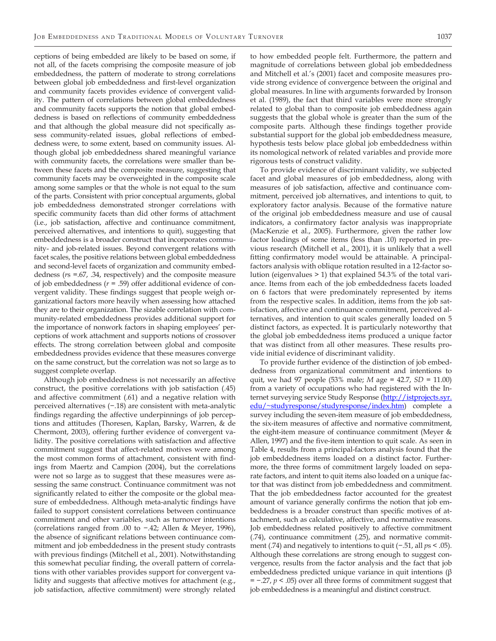ceptions of being embedded are likely to be based on some, if not all, of the facets comprising the composite measure of job embeddedness, the pattern of moderate to strong correlations between global job embeddedness and first-level organization and community facets provides evidence of convergent validity. The pattern of correlations between global embeddedness and community facets supports the notion that global embeddedness is based on reflections of community embeddedness and that although the global measure did not specifically assess community-related issues, global reflections of embeddedness were, to some extent, based on community issues. Although global job embeddedness shared meaningful variance with community facets, the correlations were smaller than between these facets and the composite measure, suggesting that community facets may be overweighted in the composite scale among some samples or that the whole is not equal to the sum of the parts. Consistent with prior conceptual arguments, global job embeddedness demonstrated stronger correlations with specific community facets than did other forms of attachment (i.e., job satisfaction, affective and continuance commitment, perceived alternatives, and intentions to quit), suggesting that embeddedness is a broader construct that incorporates community- and job-related issues. Beyond convergent relations with facet scales, the positive relations between global embeddedness and second-level facets of organization and community embeddedness (*r*s =.67, .34, respectively) and the composite measure of job embeddedness (*r* = .59) offer additional evidence of convergent validity. These findings suggest that people weigh organizational factors more heavily when assessing how attached they are to their organization. The sizable correlation with community-related embeddedness provides additional support for the importance of nonwork factors in shaping employees' perceptions of work attachment and supports notions of crossover effects. The strong correlation between global and composite embeddedness provides evidence that these measures converge on the same construct, but the correlation was not so large as to suggest complete overlap.

Although job embeddedness is not necessarily an affective construct, the positive correlations with job satisfaction (.45) and affective commitment (.61) and a negative relation with perceived alternatives (−.18) are consistent with meta-analytic findings regarding the affective underpinnings of job perceptions and attitudes (Thoresen, Kaplan, Barsky, Warren, & de Chermont, 2003), offering further evidence of convergent validity. The positive correlations with satisfaction and affective commitment suggest that affect-related motives were among the most common forms of attachment, consistent with findings from Maertz and Campion (2004), but the correlations were not so large as to suggest that these measures were assessing the same construct. Continuance commitment was not significantly related to either the composite or the global measure of embeddedness. Although meta-analytic findings have failed to support consistent correlations between continuance commitment and other variables, such as turnover intentions (correlations ranged from .00 to −.42; Allen & Meyer, 1996), the absence of significant relations between continuance commitment and job embeddedness in the present study contrasts with previous findings (Mitchell et al., 2001). Notwithstanding this somewhat peculiar finding, the overall pattern of correlations with other variables provides support for convergent validity and suggests that affective motives for attachment (e.g., job satisfaction, affective commitment) were strongly related

to how embedded people felt. Furthermore, the pattern and magnitude of correlations between global job embeddedness and Mitchell et al.'s (2001) facet and composite measures provide strong evidence of convergence between the original and global measures. In line with arguments forwarded by Ironson et al. (1989), the fact that third variables were more strongly related to global than to composite job embeddedness again suggests that the global whole is greater than the sum of the composite parts. Although these findings together provide substantial support for the global job embeddedness measure, hypothesis tests below place global job embeddedness within its nomological network of related variables and provide more rigorous tests of construct validity.

To provide evidence of discriminant validity, we subjected facet and global measures of job embeddedness, along with measures of job satisfaction, affective and continuance commitment, perceived job alternatives, and intentions to quit, to exploratory factor analysis. Because of the formative nature of the original job embeddedness measure and use of causal indicators, a confirmatory factor analysis was inappropriate (MacKenzie et al., 2005). Furthermore, given the rather low factor loadings of some items (less than .10) reported in previous research (Mitchell et al., 2001), it is unlikely that a well fitting confirmatory model would be attainable. A principalfactors analysis with oblique rotation resulted in a 12-factor solution (eigenvalues > 1) that explained 54.3% of the total variance. Items from each of the job embeddedness facets loaded on 6 factors that were predominately represented by items from the respective scales. In addition, items from the job satisfaction, affective and continuance commitment, perceived alternatives, and intention to quit scales generally loaded on 5 distinct factors, as expected. It is particularly noteworthy that the global job embeddedness items produced a unique factor that was distinct from all other measures. These results provide initial evidence of discriminant validity.

To provide further evidence of the distinction of job embeddedness from organizational commitment and intentions to quit, we had 97 people (53% male; *M* age = 42.7, *SD* = 11.00) from a variety of occupations who had registered with the Internet surveying service Study Response (http://istprojects.syr. edu/~studyresponse/studyresponse/index.htm) complete a survey including the seven-item measure of job embeddedness, the six-item measures of affective and normative commitment, the eight-item measure of continuance commitment (Meyer & Allen, 1997) and the five-item intention to quit scale. As seen in Table 4, results from a principal-factors analysis found that the job embeddedness items loaded on a distinct factor. Furthermore, the three forms of commitment largely loaded on separate factors, and intent to quit items also loaded on a unique factor that was distinct from job embeddedness and commitment. That the job embeddedness factor accounted for the greatest amount of variance generally confirms the notion that job embeddedness is a broader construct than specific motives of attachment, such as calculative, affective, and normative reasons. Job embeddedness related positively to affective commitment (.74), continuance commitment (.25), and normative commitment (.74) and negatively to intentions to quit (−.51, all *p*s < .05). Although these correlations are strong enough to suggest convergence, results from the factor analysis and the fact that job embeddedness predicted unique variance in quit intentions (β = −.27, *p* < .05) over all three forms of commitment suggest that job embeddedness is a meaningful and distinct construct.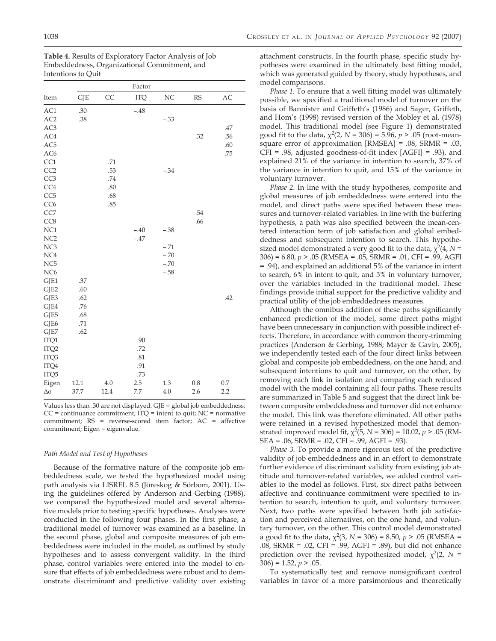| Table 4. Results of Exploratory Factor Analysis of Job |
|--------------------------------------------------------|
| Embeddedness, Organizational Commitment, and           |
| Intentions to Ouit                                     |

|                  |            |      | Factor     |        |           |     |
|------------------|------------|------|------------|--------|-----------|-----|
| Item             | <b>GJE</b> | CC   | <b>ITQ</b> | NC     | <b>RS</b> | AC  |
| AC1              | .30        |      | $-.48$     |        |           |     |
| AC2              | .38        |      |            | $-.33$ |           |     |
| AC3              |            |      |            |        |           | .47 |
| AC4              |            |      |            |        | .32       | .56 |
| AC <sub>5</sub>  |            |      |            |        |           | .60 |
| AC <sub>6</sub>  |            |      |            |        |           | .75 |
| CC1              |            | .71  |            |        |           |     |
| CC2              |            | .53  |            | $-.34$ |           |     |
| CC <sub>3</sub>  |            | .74  |            |        |           |     |
| CC4              |            | .80  |            |        |           |     |
| CC <sub>5</sub>  |            | .68  |            |        |           |     |
| CC <sub>6</sub>  |            | .85  |            |        |           |     |
| CC7              |            |      |            |        | .54       |     |
| CC <sub>8</sub>  |            |      |            |        | .66       |     |
| NC1              |            |      | $-.40$     | $-.38$ |           |     |
| NC <sub>2</sub>  |            |      | $-.47$     |        |           |     |
| NC <sub>3</sub>  |            |      |            | $-.71$ |           |     |
| NC4              |            |      |            | $-.70$ |           |     |
| NC <sub>5</sub>  |            |      |            | $-.70$ |           |     |
| NC <sub>6</sub>  |            |      |            | $-.58$ |           |     |
| GJE1             | .37        |      |            |        |           |     |
| GJE2<br>GJE3     | .60<br>.62 |      |            |        |           | .42 |
| GJE4             | .76        |      |            |        |           |     |
| GJE5             | .68        |      |            |        |           |     |
| GJE6             | .71        |      |            |        |           |     |
| GJE7             | .62        |      |            |        |           |     |
| ITQ1             |            |      | .90        |        |           |     |
| ITQ <sub>2</sub> |            |      | .72        |        |           |     |
| ITQ3             |            |      | .81        |        |           |     |
| ITQ4             |            |      | .91        |        |           |     |
| ITQ5             |            |      | .73        |        |           |     |
| Eigen            | 12.1       | 4.0  | 2.5        | 1.3    | 0.8       | 0.7 |
| $\Delta \sigma$  | 37.7       | 12.4 | 7.7        | 4.0    | 2.6       | 2.2 |

Values less than .30 are not displayed. GJE = global job embeddedness;  $CC =$  continuance commitment;  $ITQ =$  intent to quit;  $NC =$  normative commitment; RS = reverse-scored item factor; AC = affective commitment; Eigen = eigenvalue.

#### *Path Model and Test of Hypotheses*

Because of the formative nature of the composite job embeddedness scale, we tested the hypothesized model using path analysis via LISREL 8.5 (Jöreskog & Sörbom, 2001). Using the guidelines offered by Anderson and Gerbing (1988), we compared the hypothesized model and several alternative models prior to testing specific hypotheses. Analyses were conducted in the following four phases. In the first phase, a traditional model of turnover was examined as a baseline. In the second phase, global and composite measures of job embeddedness were included in the model, as outlined by study hypotheses and to assess convergent validity. In the third phase, control variables were entered into the model to ensure that effects of job embeddedness were robust and to demonstrate discriminant and predictive validity over existing attachment constructs. In the fourth phase, specific study hypotheses were examined in the ultimately best fitting model, which was generated guided by theory, study hypotheses, and model comparisons.

*Phase 1.* To ensure that a well fitting model was ultimately possible, we specified a traditional model of turnover on the basis of Bannister and Griffeth's (1986) and Sager, Griffeth, and Hom's (1998) revised version of the Mobley et al. (1978) model. This traditional model (see Figure 1) demonstrated good fit to the data,  $\chi^2(2, N = 306) = 5.96$ ,  $p > .05$  (root-meansquare error of approximation [RMSEA] = .08, SRMR = .03, CFI = .98, adjusted goodness-of-fit index [AGFI] = .93), and explained 21% of the variance in intention to search, 37% of the variance in intention to quit, and 15% of the variance in voluntary turnover.

*Phase 2.* In line with the study hypotheses, composite and global measures of job embeddedness were entered into the model, and direct paths were specified between these measures and turnover-related variables. In line with the buffering hypothesis, a path was also specified between the mean-centered interaction term of job satisfaction and global embeddedness and subsequent intention to search. This hypothesized model demonstrated a very good fit to the data,  $\chi^2(4, N =$ 306) = 6.80, *p* > .05 (RMSEA = .05, SRMR = .01, CFI = .99, AGFI = .94), and explained an additional 5% of the variance in intent to search, 6% in intent to quit, and 5% in voluntary turnover, over the variables included in the traditional model. These findings provide initial support for the predictive validity and practical utility of the job embeddedness measures.

Although the omnibus addition of these paths significantly enhanced prediction of the model, some direct paths might have been unnecessary in conjunction with possible indirect effects. Therefore, in accordance with common theory-trimming practices (Anderson & Gerbing, 1988; Mayer & Gavin, 2005), we independently tested each of the four direct links between global and composite job embeddedness, on the one hand, and subsequent intentions to quit and turnover, on the other, by removing each link in isolation and comparing each reduced model with the model containing all four paths. These results are summarized in Table 5 and suggest that the direct link between composite embeddedness and turnover did not enhance the model. This link was therefore eliminated. All other paths were retained in a revised hypothesized model that demonstrated improved model fit,  $\chi^2(5, N = 306) = 10.02$ ,  $p > .05$  (RM-SEA = .06, SRMR = .02, CFI = .99, AGFI = .93).

*Phase 3.* To provide a more rigorous test of the predictive validity of job embeddedness and in an effort to demonstrate further evidence of discriminant validity from existing job attitude and turnover-related variables, we added control variables to the model as follows. First, six direct paths between affective and continuance commitment were specified to intention to search, intention to quit, and voluntary turnover. Next, two paths were specified between both job satisfaction and perceived alternatives, on the one hand, and voluntary turnover, on the other. This control model demonstrated a good fit to the data,  $\chi^2(3, N = 306) = 8.50, p > .05$  (RMSEA = .08, SRMR = .02, CFI = .99, AGFI = .89), but did not enhance prediction over the revised hypothesized model,  $\chi^2(2, N =$  $306$ ) = 1.52,  $p > .05$ .

To systematically test and remove nonsignificant control variables in favor of a more parsimonious and theoretically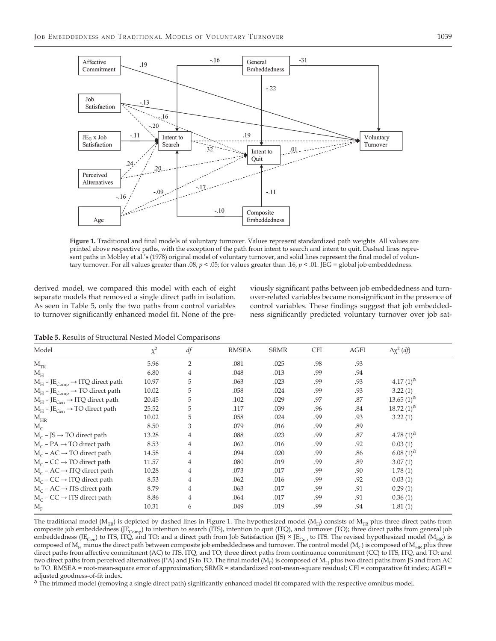

Figure 1. Traditional and final models of voluntary turnover. Values represent standardized path weights. All values are printed above respective paths, with the exception of the path from intent to search and intent to quit. Dashed lines represent paths in Mobley et al.'s (1978) original model of voluntary turnover, and solid lines represent the final model of voluntary turnover. For all values greater than .08,  $p < .05$ ; for values greater than .16,  $p < .01$ . JEG = global job embeddedness.

derived model, we compared this model with each of eight separate models that removed a single direct path in isolation. As seen in Table 5, only the two paths from control variables to turnover significantly enhanced model fit. None of the previously significant paths between job embeddedness and turnover-related variables became nonsignificant in the presence of control variables. These findings suggest that job embeddedness significantly predicted voluntary turnover over job sat-

**Table 5.** Results of Structural Nested Model Comparisons

| Model                                                    | $\chi^2$ | л.<br>df       | <b>RMSEA</b> | <b>SRMR</b> | <b>CFI</b> | AGFI | $\Delta \chi^2$ (df) |  |
|----------------------------------------------------------|----------|----------------|--------------|-------------|------------|------|----------------------|--|
| $M_{TR}$                                                 | 5.96     | $\overline{2}$ | .081         | .025        | .98        | .93  |                      |  |
| $M_H$                                                    | 6.80     | 4              | .048         | .013        | .99        | .94  |                      |  |
| $M_H$ – JE <sub>Comp</sub> $\rightarrow$ ITQ direct path | 10.97    | 5              | .063         | .023        | .99        | .93  | $4.17(1)^a$          |  |
| $M_H$ – J $E_{Comp}$ $\rightarrow$ TO direct path        | 10.02    | 5              | .058         | .024        | .99        | .93  | 3.22(1)              |  |
| $M_H$ – JE <sub>Gen</sub> $\rightarrow$ ITQ direct path  | 20.45    | 5              | .102         | .029        | .97        | .87  | $13.65(1)^a$         |  |
| $M_H$ – JE <sub>Gen</sub> $\rightarrow$ TO direct path   | 25.52    | 5              | .117         | .039        | .96        | .84  | $18.72(1)^a$         |  |
| $M_{HR}$                                                 | 10.02    | 5              | .058         | .024        | .99        | .93  | 3.22(1)              |  |
| $M_c$                                                    | 8.50     | 3              | .079         | .016        | .99        | .89  |                      |  |
| $M_c$ – JS $\rightarrow$ TO direct path                  | 13.28    | 4              | .088         | .023        | .99        | .87  | 4.78 $(1)^a$         |  |
| $M_C$ – PA $\rightarrow$ TO direct path                  | 8.53     | 4              | .062         | .016        | .99        | .92  | 0.03(1)              |  |
| $M_C$ – AC $\rightarrow$ TO direct path                  | 14.58    | 4              | .094         | .020        | .99        | .86  | $6.08(1)^{d}$        |  |
| $M_C$ – CC $\rightarrow$ TO direct path                  | 11.57    | 4              | .080         | .019        | .99        | .89  | 3.07(1)              |  |
| $M_C$ – AC $\rightarrow$ ITQ direct path                 | 10.28    | 4              | .073         | .017        | .99        | .90  | 1.78(1)              |  |
| $M_C$ – CC $\rightarrow$ ITQ direct path                 | 8.53     | 4              | .062         | .016        | .99        | .92  | 0.03(1)              |  |
| $M_C$ – AC $\rightarrow$ ITS direct path                 | 8.79     | 4              | .063         | .017        | .99        | .91  | 0.29(1)              |  |
| $M_C$ – CC $\rightarrow$ ITS direct path                 | 8.86     | 4              | .064         | .017        | .99        | .91  | 0.36(1)              |  |
| $M_{\textrm{\tiny E}}$                                   | 10.31    | 6              | .049         | .019        | .99        | .94  | 1.81(1)              |  |

The traditional model ( $M_{TR}$ ) is depicted by dashed lines in Figure 1. The hypothesized model ( $M_{H}$ ) consists of  $M_{TR}$  plus three direct paths from composite job embeddedness (JE<sub>Comp</sub>) to intention to search (ITS), intention to quit (ITQ), and turnover (TO); three direct paths from general job embeddedness (JE<sub>Gen</sub>) to ITS, ITQ, and TO; and a direct path from Job Satisfaction (JS) × JE<sub>Gen</sub> to ITS. The revised hypothesized model (M<sub>HR</sub>) is composed of  $M_H$  minus the direct path between composite job embeddedness and turnover. The control model ( $M_C$ ) is composed of  $M_{HR}$  plus three direct paths from affective commitment (AC) to ITS, ITQ, and TO; three direct paths from continuance commitment (CC) to ITS, ITQ, and TO; and two direct paths from perceived alternatives (PA) and JS to TO. The final model ( $M_F$ ) is composed of  $M_H$  plus two direct paths from JS and from AC to TO. RMSEA = root-mean-square error of approximation; SRMR = standardized root-mean-square residual; CFI = comparative fit index; AGFI = adjusted goodness-of-fit index.

<sup>a</sup> The trimmed model (removing a single direct path) significantly enhanced model fit compared with the respective omnibus model.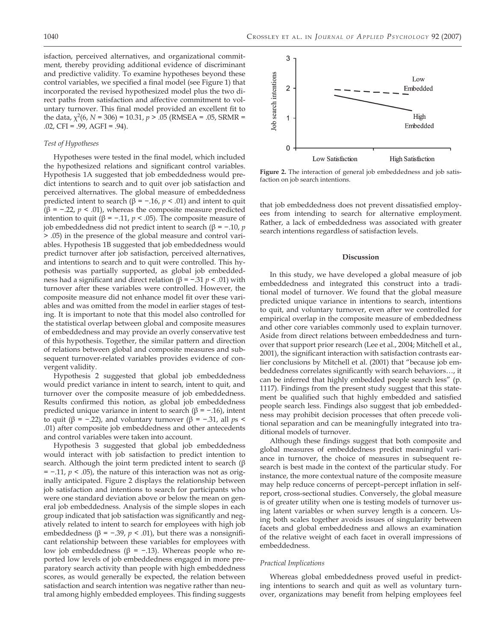isfaction, perceived alternatives, and organizational commitment, thereby providing additional evidence of discriminant and predictive validity. To examine hypotheses beyond these control variables, we specified a final model (see Figure 1) that incorporated the revised hypothesized model plus the two direct paths from satisfaction and affective commitment to voluntary turnover. This final model provided an excellent fit to the data,  $\chi^2(6, N = 306) = 10.31, p > .05$  (RMSEA = .05, SRMR = .02, CFI = .99, AGFI = .94).

#### *Test of Hypotheses*

Hypotheses were tested in the final model, which included the hypothesized relations and significant control variables. Hypothesis 1A suggested that job embeddedness would predict intentions to search and to quit over job satisfaction and perceived alternatives. The global measure of embeddedness predicted intent to search (β = −.16, *p* < .01) and intent to quit ( $\beta$  = -.22,  $p$  < .01), whereas the composite measure predicted intention to quit (β = −.11, *p* < .05). The composite measure of job embeddedness did not predict intent to search (β = −.10, *p* > .05) in the presence of the global measure and control variables. Hypothesis 1B suggested that job embeddedness would predict turnover after job satisfaction, perceived alternatives, and intentions to search and to quit were controlled. This hypothesis was partially supported, as global job embeddedness had a significant and direct relation (β = −.31 *p* < .01) with turnover after these variables were controlled. However, the composite measure did not enhance model fit over these variables and was omitted from the model in earlier stages of testing. It is important to note that this model also controlled for the statistical overlap between global and composite measures of embeddedness and may provide an overly conservative test of this hypothesis. Together, the similar pattern and direction of relations between global and composite measures and subsequent turnover-related variables provides evidence of convergent validity.

Hypothesis 2 suggested that global job embeddedness would predict variance in intent to search, intent to quit, and turnover over the composite measure of job embeddedness. Results confirmed this notion, as global job embeddedness predicted unique variance in intent to search (β = −.16), intent to quit (β =  $-$ .22), and voluntary turnover (β =  $-$ .31, all *ps* < .01) after composite job embeddedness and other antecedents and control variables were taken into account.

Hypothesis 3 suggested that global job embeddedness would interact with job satisfaction to predict intention to search. Although the joint term predicted intent to search  $(\beta$ = −.11, *p* < .05), the nature of this interaction was not as originally anticipated. Figure 2 displays the relationship between job satisfaction and intentions to search for participants who were one standard deviation above or below the mean on general job embeddedness. Analysis of the simple slopes in each group indicated that job satisfaction was significantly and negatively related to intent to search for employees with high job embeddedness (β = -.39, *p* < .01), but there was a nonsignificant relationship between these variables for employees with low job embeddedness (β = -.13). Whereas people who reported low levels of job embeddedness engaged in more preparatory search activity than people with high embeddedness scores, as would generally be expected, the relation between satisfaction and search intention was negative rather than neutral among highly embedded employees. This finding suggests



**Figure 2.** The interaction of general job embeddedness and job satisfaction on job search intentions.

that job embeddedness does not prevent dissatisfied employees from intending to search for alternative employment. Rather, a lack of embeddedness was associated with greater search intentions regardless of satisfaction levels.

#### **Discussion**

In this study, we have developed a global measure of job embeddedness and integrated this construct into a traditional model of turnover. We found that the global measure predicted unique variance in intentions to search, intentions to quit, and voluntary turnover, even after we controlled for empirical overlap in the composite measure of embeddedness and other core variables commonly used to explain turnover. Aside from direct relations between embeddedness and turnover that support prior research (Lee et al., 2004; Mitchell et al., 2001), the significant interaction with satisfaction contrasts earlier conclusions by Mitchell et al. (2001) that "because job embeddedness correlates significantly with search behaviors…, it can be inferred that highly embedded people search less" (p. 1117). Findings from the present study suggest that this statement be qualified such that highly embedded and satisfied people search less. Findings also suggest that job embeddedness may prohibit decision processes that often precede volitional separation and can be meaningfully integrated into traditional models of turnover.

Although these findings suggest that both composite and global measures of embeddedness predict meaningful variance in turnover, the choice of measures in subsequent research is best made in the context of the particular study. For instance, the more contextual nature of the composite measure may help reduce concerns of percept–percept inflation in selfreport, cross-sectional studies. Conversely, the global measure is of greater utility when one is testing models of turnover using latent variables or when survey length is a concern. Using both scales together avoids issues of singularity between facets and global embeddedness and allows an examination of the relative weight of each facet in overall impressions of embeddedness.

#### *Practical Implications*

Whereas global embeddedness proved useful in predicting intentions to search and quit as well as voluntary turnover, organizations may benefit from helping employees feel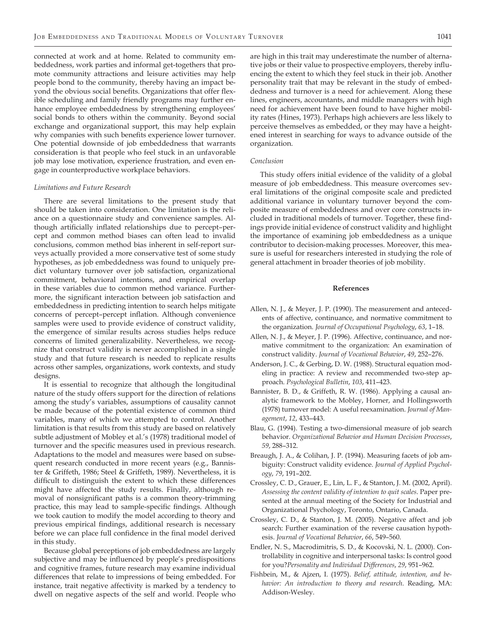connected at work and at home. Related to community embeddedness, work parties and informal get-togethers that promote community attractions and leisure activities may help people bond to the community, thereby having an impact beyond the obvious social benefits. Organizations that offer flexible scheduling and family friendly programs may further enhance employee embeddedness by strengthening employees' social bonds to others within the community. Beyond social exchange and organizational support, this may help explain why companies with such benefits experience lower turnover. One potential downside of job embeddedness that warrants consideration is that people who feel stuck in an unfavorable job may lose motivation, experience frustration, and even engage in counterproductive workplace behaviors.

#### *Limitations and Future Research*

There are several limitations to the present study that should be taken into consideration. One limitation is the reliance on a questionnaire study and convenience samples. Although artificially inflated relationships due to percept–percept and common method biases can often lead to invalid conclusions, common method bias inherent in self-report surveys actually provided a more conservative test of some study hypotheses, as job embeddedness was found to uniquely predict voluntary turnover over job satisfaction, organizational commitment, behavioral intentions, and empirical overlap in these variables due to common method variance. Furthermore, the significant interaction between job satisfaction and embeddedness in predicting intention to search helps mitigate concerns of percept–percept inflation. Although convenience samples were used to provide evidence of construct validity, the emergence of similar results across studies helps reduce concerns of limited generalizability. Nevertheless, we recognize that construct validity is never accomplished in a single study and that future research is needed to replicate results across other samples, organizations, work contexts, and study designs.

It is essential to recognize that although the longitudinal nature of the study offers support for the direction of relations among the study's variables, assumptions of causality cannot be made because of the potential existence of common third variables, many of which we attempted to control. Another limitation is that results from this study are based on relatively subtle adjustment of Mobley et al.'s (1978) traditional model of turnover and the specific measures used in previous research. Adaptations to the model and measures were based on subsequent research conducted in more recent years (e.g., Bannister & Griffeth, 1986; Steel & Griffeth, 1989). Nevertheless, it is difficult to distinguish the extent to which these differences might have affected the study results. Finally, although removal of nonsignificant paths is a common theory-trimming practice, this may lead to sample-specific findings. Although we took caution to modify the model according to theory and previous empirical findings, additional research is necessary before we can place full confidence in the final model derived in this study.

Because global perceptions of job embeddedness are largely subjective and may be influenced by people's predispositions and cognitive frames, future research may examine individual differences that relate to impressions of being embedded. For instance, trait negative affectivity is marked by a tendency to dwell on negative aspects of the self and world. People who are high in this trait may underestimate the number of alternative jobs or their value to prospective employers, thereby influencing the extent to which they feel stuck in their job. Another personality trait that may be relevant in the study of embeddedness and turnover is a need for achievement. Along these lines, engineers, accountants, and middle managers with high need for achievement have been found to have higher mobility rates (Hines, 1973). Perhaps high achievers are less likely to perceive themselves as embedded, or they may have a heightened interest in searching for ways to advance outside of the organization.

#### *Conclusion*

This study offers initial evidence of the validity of a global measure of job embeddedness. This measure overcomes several limitations of the original composite scale and predicted additional variance in voluntary turnover beyond the composite measure of embeddedness and over core constructs included in traditional models of turnover. Together, these findings provide initial evidence of construct validity and highlight the importance of examining job embeddedness as a unique contributor to decision-making processes. Moreover, this measure is useful for researchers interested in studying the role of general attachment in broader theories of job mobility.

#### **References**

- Allen, N. J., & Meyer, J. P. (1990). The measurement and antecedents of affective, continuance, and normative commitment to the organization. *Journal of Occupational Psychology*, *63*, 1–18.
- Allen, N. J., & Meyer, J. P. (1996). Affective, continuance, and normative commitment to the organization: An examination of construct validity. *Journal of Vocational Behavior*, *49*, 252–276.
- Anderson, J. C., & Gerbing, D. W. (1988). Structural equation modeling in practice: A review and recommended two-step approach. *Psychological Bulletin*, *103*, 411–423.
- Bannister, B. D., & Griffeth, R. W. (1986). Applying a causal analytic framework to the Mobley, Horner, and Hollingsworth (1978) turnover model: A useful reexamination. *Journal of Management*, *12*, 433–443.
- Blau, G. (1994). Testing a two-dimensional measure of job search behavior. *Organizational Behavior and Human Decision Processes*, *59*, 288–312.
- Breaugh, J. A., & Colihan, J. P. (1994). Measuring facets of job ambiguity: Construct validity evidence. *Journal of Applied Psychology*, *79*, 191–202.
- Crossley, C. D., Grauer, E., Lin, L. F., & Stanton, J. M. (2002, April). *Assessing the content validity of intention to quit scales*. Paper presented at the annual meeting of the Society for Industrial and Organizational Psychology, Toronto, Ontario, Canada.
- Crossley, C. D., & Stanton, J. M. (2005). Negative affect and job search: Further examination of the reverse causation hypothesis. *Journal of Vocational Behavior*, *66*, 549–560.
- Endler, N. S., Macrodimitris, S. D., & Kocovski, N. L. (2000). Controllability in cognitive and interpersonal tasks: Is control good for you?*Personality and Individual Differences*, *29*, 951–962.
- Fishbein, M., & Ajzen, I. (1975). *Belief, attitude, intention, and behavior: An introduction to theory and research*. Reading, MA: Addison-Wesley.